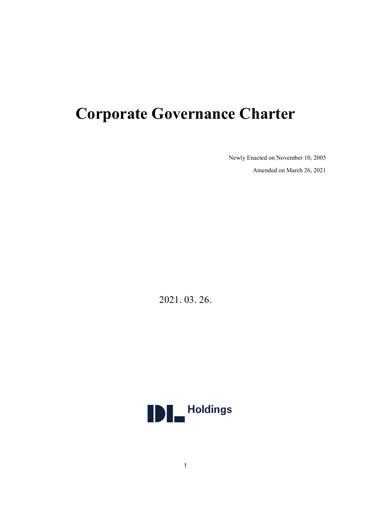# **Corporate Governance Charter**

Newly Enacted on November 10, 2005

Amended on March 26, 2021

2021. 03. 26.

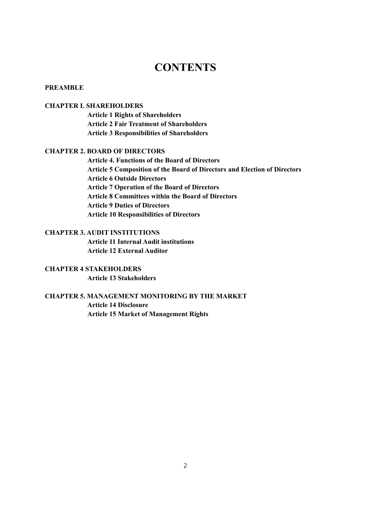## **CONTENTS**

#### **PREAMBLE**

#### **CHAPTER I. SHAREHOLDERS**

**Article 1 Rights of Shareholders Article 2 Fair Treatment of Shareholders Article 3 Responsibilities of Shareholders**

#### **CHAPTER 2. BOARD OF DIRECTORS**

**Article 4. Functions of the Board of Directors Article 5 Composition of the Board of Directors and Election of Directors Article 6 Outside Directors Article 7 Operation of the Board of Directors Article 8 Committees within the Board of Directors Article 9 Duties of Directors Article 10 Responsibilities of Directors**

#### **CHAPTER 3. AUDIT INSTITUTIONS**

**Article 11 Internal Audit institutions Article 12 External Auditor**

## **CHAPTER 4 STAKEHOLDERS**

**Article 13 Stakeholders**

## **CHAPTER 5. MANAGEMENT MONITORING BY THE MARKET Article 14 Disclosure Article 15 Market of Management Rights**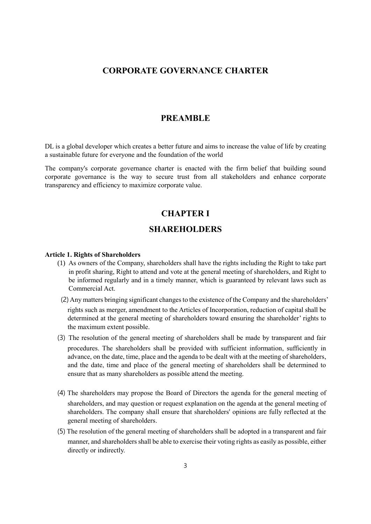## **CORPORATE GOVERNANCE CHARTER**

## **PREAMBLE**

DL is a global developer which creates a better future and aims to increase the value of life by creating a sustainable future for everyone and the foundation of the world

The company's corporate governance charter is enacted with the firm belief that building sound corporate governance is the way to secure trust from all stakeholders and enhance corporate transparency and efficiency to maximize corporate value.

## **CHAPTER I**

## **SHAREHOLDERS**

#### **Article 1. Rights of Shareholders**

- (1) As owners of the Company, shareholders shall have the rights including the Right to take part in profit sharing, Right to attend and vote at the general meeting of shareholders, and Right to be informed regularly and in a timely manner, which is guaranteed by relevant laws such as Commercial Act.
	- (2) Any matters bringing significant changes to the existence of the Company and the shareholders' rights such as merger, amendment to the Articles of Incorporation, reduction of capital shall be determined at the general meeting of shareholders toward ensuring the shareholder' rights to the maximum extent possible.
- (3) The resolution of the general meeting of shareholders shall be made by transparent and fair procedures. The shareholders shall be provided with sufficient information, sufficiently in advance, on the date, time, place and the agenda to be dealt with at the meeting of shareholders, and the date, time and place of the general meeting of shareholders shall be determined to ensure that as many shareholders as possible attend the meeting.
- (4) The shareholders may propose the Board of Directors the agenda for the general meeting of shareholders, and may question or request explanation on the agenda at the general meeting of shareholders. The company shall ensure that shareholders' opinions are fully reflected at the general meeting of shareholders.
- (5) The resolution of the general meeting of shareholders shall be adopted in a transparent and fair manner, and shareholders shall be able to exercise their voting rights as easily as possible, either directly or indirectly.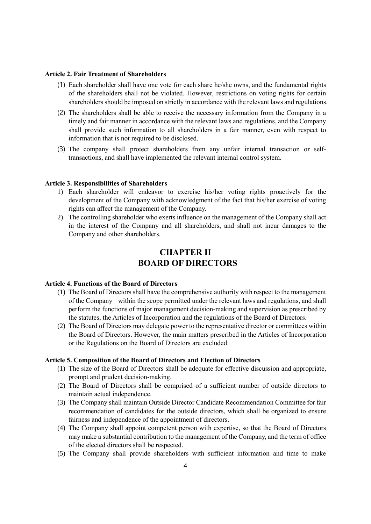#### **Article 2. Fair Treatment of Shareholders**

- (1) Each shareholder shall have one vote for each share he/she owns, and the fundamental rights of the shareholders shall not be violated. However, restrictions on voting rights for certain shareholders should be imposed on strictly in accordance with the relevant laws and regulations.
- (2) The shareholders shall be able to receive the necessary information from the Company in a timely and fair manner in accordance with the relevant laws and regulations, and the Company shall provide such information to all shareholders in a fair manner, even with respect to information that is not required to be disclosed.
- (3) The company shall protect shareholders from any unfair internal transaction or selftransactions, and shall have implemented the relevant internal control system.

#### **Article 3. Responsibilities of Shareholders**

- 1) Each shareholder will endeavor to exercise his/her voting rights proactively for the development of the Company with acknowledgment of the fact that his/her exercise of voting rights can affect the management of the Company.
- 2) The controlling shareholder who exerts influence on the management of the Company shall act in the interest of the Company and all shareholders, and shall not incur damages to the Company and other shareholders.

## **CHAPTER II BOARD OF DIRECTORS**

#### **Article 4. Functions of the Board of Directors**

- (1) The Board of Directors shall have the comprehensive authority with respect to the management of the Company within the scope permitted under the relevant laws and regulations, and shall perform the functions of major management decision-making and supervision as prescribed by the statutes, the Articles of Incorporation and the regulations of the Board of Directors.
- (2) The Board of Directors may delegate power to the representative director or committees within the Board of Directors. However, the main matters prescribed in the Articles of Incorporation or the Regulations on the Board of Directors are excluded.

#### **Article 5. Composition of the Board of Directors and Election of Directors**

- (1) The size of the Board of Directors shall be adequate for effective discussion and appropriate, prompt and prudent decision-making.
- (2) The Board of Directors shall be comprised of a sufficient number of outside directors to maintain actual independence.
- (3) The Company shall maintain Outside Director Candidate Recommendation Committee for fair recommendation of candidates for the outside directors, which shall be organized to ensure fairness and independence of the appointment of directors.
- (4) The Company shall appoint competent person with expertise, so that the Board of Directors may make a substantial contribution to the management of the Company, and the term of office of the elected directors shall be respected.
- (5) The Company shall provide shareholders with sufficient information and time to make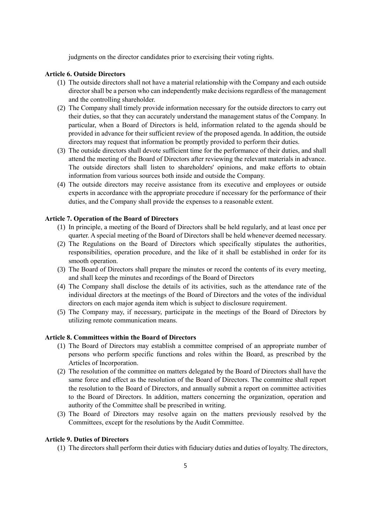judgments on the director candidates prior to exercising their voting rights.

#### **Article 6. Outside Directors**

- (1) The outside directors shall not have a material relationship with the Company and each outside director shall be a person who can independently make decisions regardless of the management and the controlling shareholder.
- (2) The Company shall timely provide information necessary for the outside directors to carry out their duties, so that they can accurately understand the management status of the Company. In particular, when a Board of Directors is held, information related to the agenda should be provided in advance for their sufficient review of the proposed agenda. In addition, the outside directors may request that information be promptly provided to perform their duties.
- (3) The outside directors shall devote sufficient time for the performance of their duties, and shall attend the meeting of the Board of Directors after reviewing the relevant materials in advance. The outside directors shall listen to shareholders' opinions, and make efforts to obtain information from various sources both inside and outside the Company.
- (4) The outside directors may receive assistance from its executive and employees or outside experts in accordance with the appropriate procedure if necessary for the performance of their duties, and the Company shall provide the expenses to a reasonable extent.

#### **Article 7. Operation of the Board of Directors**

- (1) In principle, a meeting of the Board of Directors shall be held regularly, and at least once per quarter. A special meeting of the Board of Directors shall be held whenever deemed necessary.
- (2) The Regulations on the Board of Directors which specifically stipulates the authorities, responsibilities, operation procedure, and the like of it shall be established in order for its smooth operation.
- (3) The Board of Directors shall prepare the minutes or record the contents of its every meeting, and shall keep the minutes and recordings of the Board of Directors
- (4) The Company shall disclose the details of its activities, such as the attendance rate of the individual directors at the meetings of the Board of Directors and the votes of the individual directors on each major agenda item which is subject to disclosure requirement.
- (5) The Company may, if necessary, participate in the meetings of the Board of Directors by utilizing remote communication means.

#### **Article 8. Committees within the Board of Directors**

- (1) The Board of Directors may establish a committee comprised of an appropriate number of persons who perform specific functions and roles within the Board, as prescribed by the Articles of Incorporation.
- (2) The resolution of the committee on matters delegated by the Board of Directors shall have the same force and effect as the resolution of the Board of Directors. The committee shall report the resolution to the Board of Directors, and annually submit a report on committee activities to the Board of Directors. In addition, matters concerning the organization, operation and authority of the Committee shall be prescribed in writing.
- (3) The Board of Directors may resolve again on the matters previously resolved by the Committees, except for the resolutions by the Audit Committee.

#### **Article 9. Duties of Directors**

(1) The directors shall perform their duties with fiduciary duties and duties of loyalty. The directors,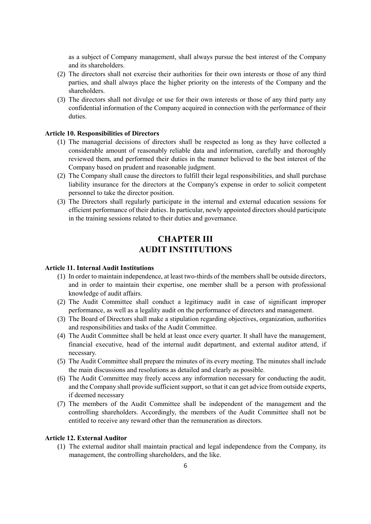as a subject of Company management, shall always pursue the best interest of the Company and its shareholders.

- (2) The directors shall not exercise their authorities for their own interests or those of any third parties, and shall always place the higher priority on the interests of the Company and the shareholders.
- (3) The directors shall not divulge or use for their own interests or those of any third party any confidential information of the Company acquired in connection with the performance of their duties.

#### **Article 10. Responsibilities of Directors**

- (1) The managerial decisions of directors shall be respected as long as they have collected a considerable amount of reasonably reliable data and information, carefully and thoroughly reviewed them, and performed their duties in the manner believed to the best interest of the Company based on prudent and reasonable judgment.
- (2) The Company shall cause the directors to fulfill their legal responsibilities, and shall purchase liability insurance for the directors at the Company's expense in order to solicit competent personnel to take the director position.
- (3) The Directors shall regularly participate in the internal and external education sessions for efficient performance of their duties. In particular, newly appointed directors should participate in the training sessions related to their duties and governance.

## **CHAPTER III AUDIT INSTITUTIONS**

#### **Article 11. Internal Audit Institutions**

- (1) In order to maintain independence, at least two-thirds of the members shall be outside directors, and in order to maintain their expertise, one member shall be a person with professional knowledge of audit affairs.
- (2) The Audit Committee shall conduct a legitimacy audit in case of significant improper performance, as well as a legality audit on the performance of directors and management.
- (3) The Board of Directors shall make a stipulation regarding objectives, organization, authorities and responsibilities and tasks of the Audit Committee.
- (4) The Audit Committee shall be held at least once every quarter. It shall have the management, financial executive, head of the internal audit department, and external auditor attend, if necessary.
- (5) The Audit Committee shall prepare the minutes of its every meeting. The minutes shall include the main discussions and resolutions as detailed and clearly as possible.
- (6) The Audit Committee may freely access any information necessary for conducting the audit, and the Company shall provide sufficient support, so that it can get advice from outside experts, if deemed necessary
- (7) The members of the Audit Committee shall be independent of the management and the controlling shareholders. Accordingly, the members of the Audit Committee shall not be entitled to receive any reward other than the remuneration as directors.

#### **Article 12. External Auditor**

(1) The external auditor shall maintain practical and legal independence from the Company, its management, the controlling shareholders, and the like.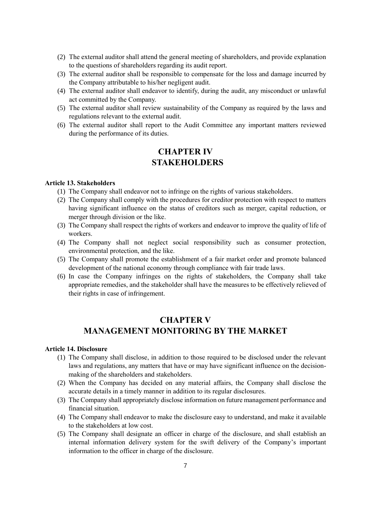- (2) The external auditor shall attend the general meeting of shareholders, and provide explanation to the questions of shareholders regarding its audit report.
- (3) The external auditor shall be responsible to compensate for the loss and damage incurred by the Company attributable to his/her negligent audit.
- (4) The external auditor shall endeavor to identify, during the audit, any misconduct or unlawful act committed by the Company.
- (5) The external auditor shall review sustainability of the Company as required by the laws and regulations relevant to the external audit.
- (6) The external auditor shall report to the Audit Committee any important matters reviewed during the performance of its duties.

## **CHAPTER IV STAKEHOLDERS**

#### **Article 13. Stakeholders**

- (1) The Company shall endeavor not to infringe on the rights of various stakeholders.
- (2) The Company shall comply with the procedures for creditor protection with respect to matters having significant influence on the status of creditors such as merger, capital reduction, or merger through division or the like.
- (3) The Company shall respect the rights of workers and endeavor to improve the quality of life of workers.
- (4) The Company shall not neglect social responsibility such as consumer protection, environmental protection, and the like.
- (5) The Company shall promote the establishment of a fair market order and promote balanced development of the national economy through compliance with fair trade laws.
- (6) In case the Company infringes on the rights of stakeholders, the Company shall take appropriate remedies, and the stakeholder shall have the measures to be effectively relieved of their rights in case of infringement.

## **CHAPTER V MANAGEMENT MONITORING BY THE MARKET**

#### **Article 14. Disclosure**

- (1) The Company shall disclose, in addition to those required to be disclosed under the relevant laws and regulations, any matters that have or may have significant influence on the decisionmaking of the shareholders and stakeholders.
- (2) When the Company has decided on any material affairs, the Company shall disclose the accurate details in a timely manner in addition to its regular disclosures.
- (3) The Company shall appropriately disclose information on future management performance and financial situation.
- (4) The Company shall endeavor to make the disclosure easy to understand, and make it available to the stakeholders at low cost.
- (5) The Company shall designate an officer in charge of the disclosure, and shall establish an internal information delivery system for the swift delivery of the Company's important information to the officer in charge of the disclosure.